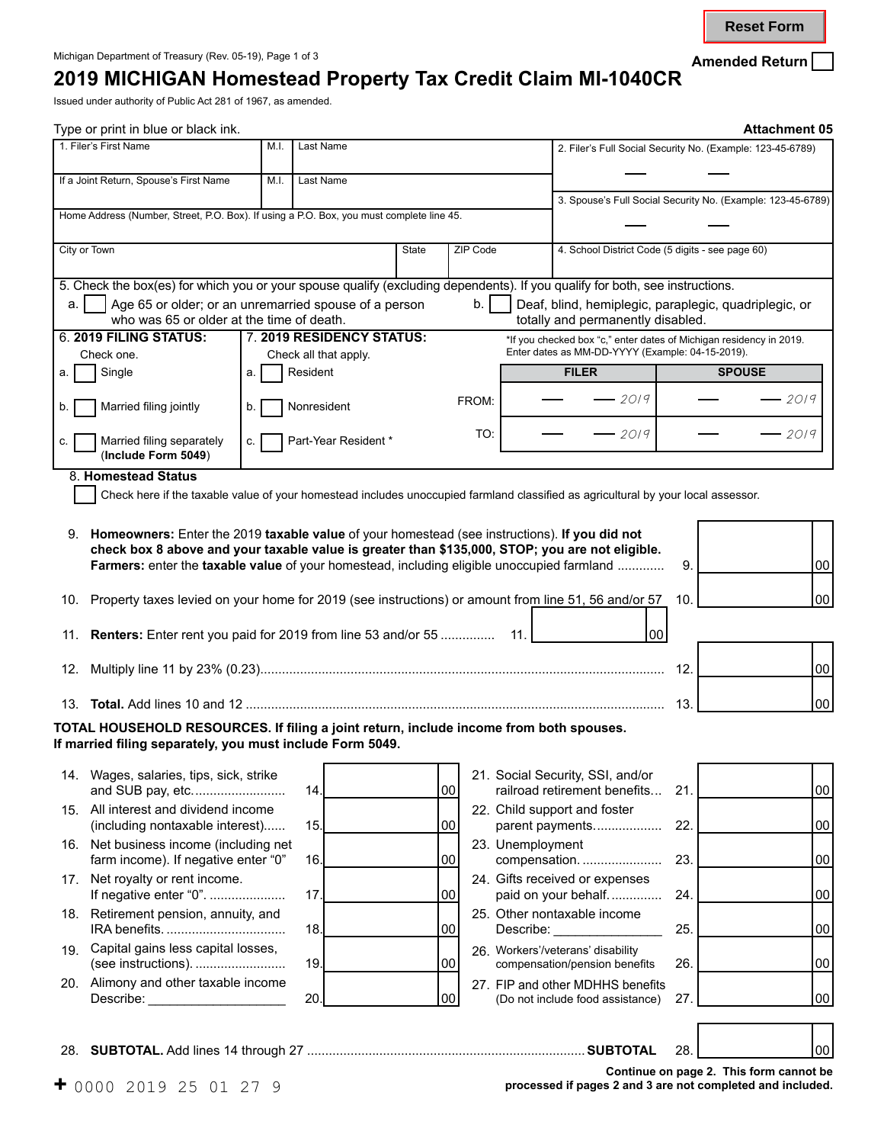**Reset Form**

## **2019 MICHIGAN Homestead Property Tax Credit Claim MI-1040CR**

Issued under authority of Public Act 281 of 1967, as amended.

| Type or print in blue or black ink.                                                                                                                                                           |      |                                   |       |          |                                                                                                                                   | <b>Attachment 05</b>                                        |                 |
|-----------------------------------------------------------------------------------------------------------------------------------------------------------------------------------------------|------|-----------------------------------|-------|----------|-----------------------------------------------------------------------------------------------------------------------------------|-------------------------------------------------------------|-----------------|
| 1. Filer's First Name                                                                                                                                                                         | M.I. | Last Name                         |       |          |                                                                                                                                   | 2. Filer's Full Social Security No. (Example: 123-45-6789)  |                 |
| If a Joint Return, Spouse's First Name                                                                                                                                                        | M.I. | Last Name                         |       |          |                                                                                                                                   |                                                             |                 |
| Home Address (Number, Street, P.O. Box). If using a P.O. Box, you must complete line 45.                                                                                                      |      |                                   |       |          |                                                                                                                                   | 3. Spouse's Full Social Security No. (Example: 123-45-6789) |                 |
|                                                                                                                                                                                               |      |                                   |       |          |                                                                                                                                   |                                                             |                 |
| City or Town                                                                                                                                                                                  |      |                                   | State | ZIP Code | 4. School District Code (5 digits - see page 60)                                                                                  |                                                             |                 |
| 5. Check the box(es) for which you or your spouse qualify (excluding dependents). If you qualify for both, see instructions.                                                                  |      |                                   |       |          |                                                                                                                                   |                                                             |                 |
| Age 65 or older; or an unremarried spouse of a person<br>a.<br>who was 65 or older at the time of death.                                                                                      |      |                                   |       | b.       | Deaf, blind, hemiplegic, paraplegic, quadriplegic, or<br>totally and permanently disabled.                                        |                                                             |                 |
| 6. 2019 FILING STATUS:                                                                                                                                                                        |      | 7. 2019 RESIDENCY STATUS:         |       |          | *If you checked box "c," enter dates of Michigan residency in 2019.                                                               |                                                             |                 |
| Check one.<br>Single<br>а.                                                                                                                                                                    | a.   | Check all that apply.<br>Resident |       |          | Enter dates as MM-DD-YYYY (Example: 04-15-2019).<br><b>FILER</b>                                                                  | <b>SPOUSE</b>                                               |                 |
|                                                                                                                                                                                               |      |                                   |       | FROM:    | $-2019$                                                                                                                           | $-2019$                                                     |                 |
| Married filing jointly                                                                                                                                                                        | b.   | Nonresident                       |       |          |                                                                                                                                   |                                                             |                 |
| Married filing separately<br>c.<br>(Include Form 5049)                                                                                                                                        | c.   | Part-Year Resident *              |       | TO:      | $-2019$                                                                                                                           | $-2019$                                                     |                 |
| 8. Homestead Status                                                                                                                                                                           |      |                                   |       |          |                                                                                                                                   |                                                             |                 |
|                                                                                                                                                                                               |      |                                   |       |          | Check here if the taxable value of your homestead includes unoccupied farmland classified as agricultural by your local assessor. |                                                             |                 |
| 9. Homeowners: Enter the 2019 taxable value of your homestead (see instructions). If you did not                                                                                              |      |                                   |       |          |                                                                                                                                   |                                                             |                 |
| check box 8 above and your taxable value is greater than \$135,000, STOP; you are not eligible.<br>Farmers: enter the taxable value of your homestead, including eligible unoccupied farmland |      |                                   |       |          |                                                                                                                                   | 9.                                                          | 00              |
| 10. Property taxes levied on your home for 2019 (see instructions) or amount from line 51, 56 and/or 57                                                                                       |      |                                   |       |          |                                                                                                                                   | 10.                                                         | 00              |
|                                                                                                                                                                                               |      |                                   |       |          |                                                                                                                                   |                                                             |                 |
| 11. Renters: Enter rent you paid for 2019 from line 53 and/or 55  11.                                                                                                                         |      |                                   |       |          | 00                                                                                                                                |                                                             |                 |
|                                                                                                                                                                                               |      |                                   |       |          |                                                                                                                                   | 12.                                                         | $00\,$          |
|                                                                                                                                                                                               |      |                                   |       |          |                                                                                                                                   | 13.                                                         | 00              |
| TOTAL HOUSEHOLD RESOURCES. If filing a joint return, include income from both spouses.                                                                                                        |      |                                   |       |          |                                                                                                                                   |                                                             |                 |
| If married filing separately, you must include Form 5049.                                                                                                                                     |      |                                   |       |          |                                                                                                                                   |                                                             |                 |
| 14. Wages, salaries, tips, sick, strike<br>and SUB pay, etc                                                                                                                                   |      | 14.                               |       | 00       | 21. Social Security, SSI, and/or<br>railroad retirement benefits                                                                  | 21.                                                         | 00              |
| 15. All interest and dividend income<br>(including nontaxable interest)                                                                                                                       |      | 15.                               |       | 00       | 22. Child support and foster<br>parent payments                                                                                   | 22.                                                         | $00\,$          |
| 16. Net business income (including net                                                                                                                                                        |      |                                   |       |          | 23. Unemployment                                                                                                                  |                                                             |                 |
| farm income). If negative enter "0"<br>17. Net royalty or rent income.                                                                                                                        |      | 16.                               |       | 00       | compensation.<br>24. Gifts received or expenses                                                                                   | 23.                                                         | $00\,$          |
| If negative enter "0".                                                                                                                                                                        |      | 17.                               |       | 00       | paid on your behalf                                                                                                               | 24.                                                         | $00\,$          |
| 18. Retirement pension, annuity, and                                                                                                                                                          |      | 18.                               |       | 00       | 25. Other nontaxable income<br>Describe:                                                                                          | 25.                                                         | $00\,$          |
| Capital gains less capital losses,<br>19.                                                                                                                                                     |      | 19.                               |       | 00       | 26. Workers'/veterans' disability                                                                                                 |                                                             | $00\,$          |
| (see instructions).<br>20. Alimony and other taxable income                                                                                                                                   |      |                                   |       |          | compensation/pension benefits<br>27. FIP and other MDHHS benefits                                                                 | 26.                                                         |                 |
| Describe: _____________________                                                                                                                                                               |      | 20.                               |       | 00       | (Do not include food assistance)                                                                                                  | 27.                                                         | 00              |
|                                                                                                                                                                                               |      |                                   |       |          |                                                                                                                                   |                                                             |                 |
|                                                                                                                                                                                               |      |                                   |       |          |                                                                                                                                   | 28.                                                         | 00 <sup>1</sup> |
|                                                                                                                                                                                               |      |                                   |       |          |                                                                                                                                   | Continue on page 2. This form cannot be                     |                 |

**Continue on page 2. This form cannot be**  0000 2019 25 01 27 9 **processed if pages 2 and 3 are not completed and included.**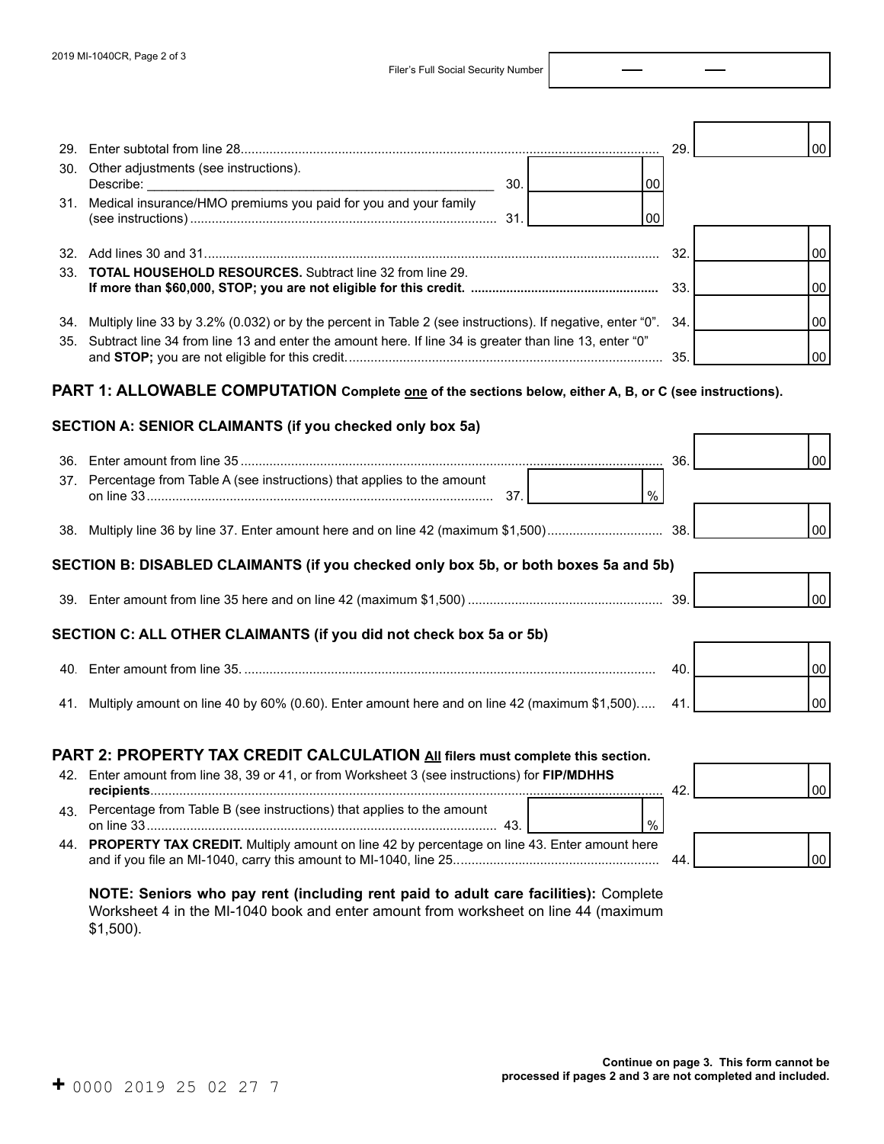Filer's Full Social Security Number

|     |                                                                                                                | 29. | 00 |
|-----|----------------------------------------------------------------------------------------------------------------|-----|----|
| 30. | Other adjustments (see instructions).<br>30.<br>00                                                             |     |    |
|     | 31. Medical insurance/HMO premiums you paid for you and your family<br>00                                      |     |    |
|     |                                                                                                                | 32. | 00 |
|     | 33. <b>TOTAL HOUSEHOLD RESOURCES.</b> Subtract line 32 from line 29.                                           | 33. | 00 |
|     | 34. Multiply line 33 by 3.2% (0.032) or by the percent in Table 2 (see instructions). If negative, enter "0".  | 34. | 00 |
|     | 35. Subtract line 34 from line 13 and enter the amount here. If line 34 is greater than line 13, enter "0"     |     | 00 |
|     | PART 1: ALLOWABLE COMPUTATION Complete <u>one</u> of the sections below, either A, B, or C (see instructions). |     |    |
|     | SECTION A: SENIOR CLAIMANTS (if you checked only box 5a)                                                       |     |    |
|     |                                                                                                                |     | 00 |
|     | 37. Percentage from Table A (see instructions) that applies to the amount<br>$\frac{0}{0}$                     |     |    |
|     |                                                                                                                |     | 00 |
|     | SECTION B: DISABLED CLAIMANTS (if you checked only box 5b, or both boxes 5a and 5b)                            |     |    |
|     |                                                                                                                |     | 00 |
|     | SECTION C: ALL OTHER CLAIMANTS (if you did not check box 5a or 5b)                                             |     |    |
|     |                                                                                                                | 40. | 00 |
|     | 41. Multiply amount on line 40 by 60% (0.60). Enter amount here and on line 42 (maximum \$1,500)               | 41  | 00 |
|     |                                                                                                                |     |    |

## **PART 2: PROPERTY TAX CREDIT CALCULATION All filers must complete this section.**

|    | 42. Enter amount from line 38, 39 or 41, or from Worksheet 3 (see instructions) for FIP/MDHHS   | 42 |  |
|----|-------------------------------------------------------------------------------------------------|----|--|
| 43 | Percentage from Table B (see instructions) that applies to the amount                           |    |  |
|    | 44. PROPERTY TAX CREDIT. Multiply amount on line 42 by percentage on line 43. Enter amount here | 44 |  |

**NOTE: Seniors who pay rent (including rent paid to adult care facilities):** Complete Worksheet 4 in the MI-1040 book and enter amount from worksheet on line 44 (maximum \$1,500).